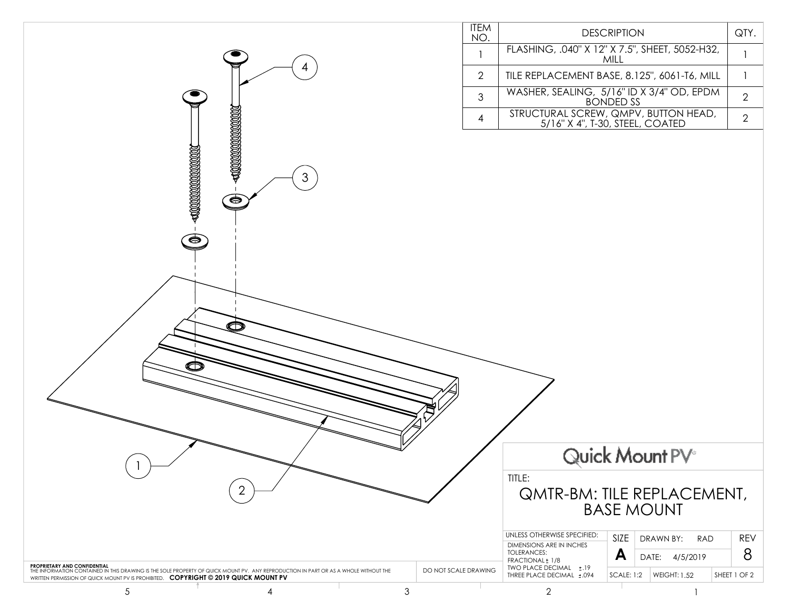